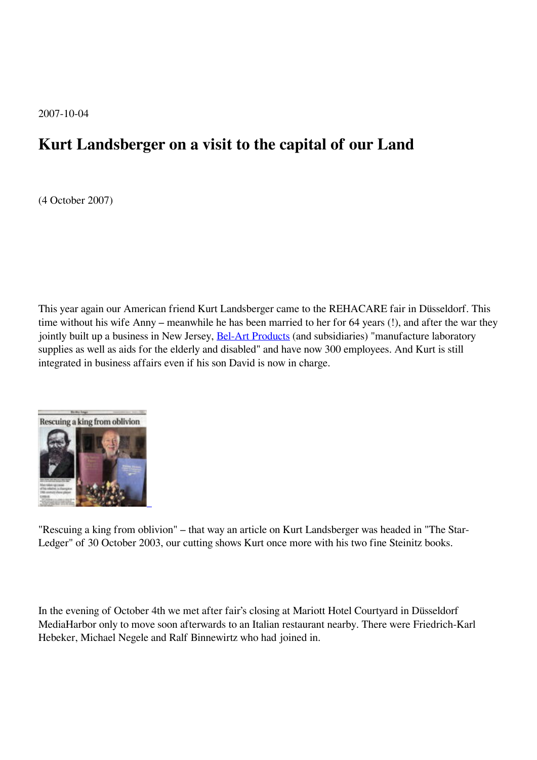2007-10-04

## **Kurt Landsberger on a visit to the capital of our Land**

(4 October 2007)

This year again our American friend Kurt Landsberger came to the REHACARE fair in Düsseldorf. This time without his wife Anny – meanwhile he has been married to her for 64 years (!), and after the war they jointly built up a business in New Jersey, **Bel-Art Products** (and subsidiaries) "manufacture laboratory supplies as well as aids for the elderly and disabled" and have now 300 employees. And Kurt is still integrated in business affairs even if his son David is now in charge.



"Rescuing a king from oblivion" – that way an article on Kurt Landsberger was headed in "The Star-Ledger" of 30 October 2003, our cutting shows Kurt once more with his two fine Steinitz books.

In the evening of October 4th we met after fair's closing at Mariott Hotel Courtyard in Düsseldorf MediaHarbor only to move soon afterwards to an Italian restaurant nearby. There were Friedrich-Karl Hebeker, Michael Negele and Ralf Binnewirtz who had joined in.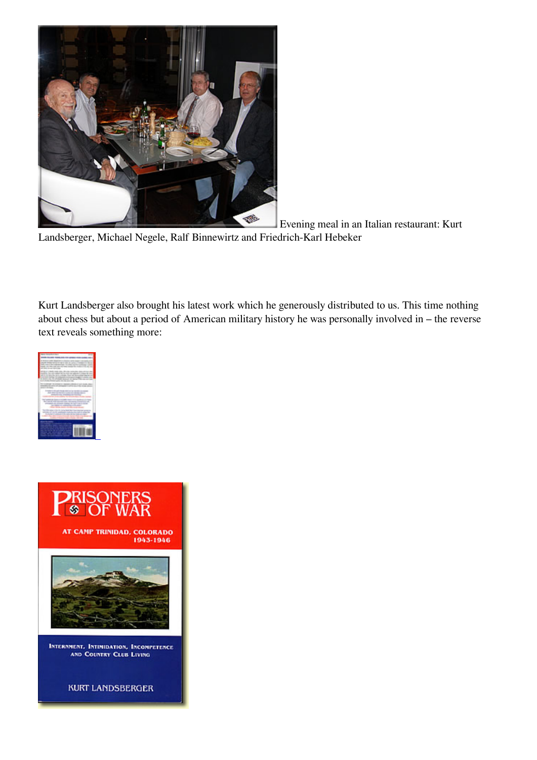

Evening meal in an Italian restaurant: Kurt

Landsberger, Michael Negele, Ralf Binnewirtz and Friedrich-Karl Hebeker

Kurt Landsberger also brought his latest work which he generously distributed to us. This time nothing about chess but about a period of American military history he was personally involved in – the reverse text reveals something more:





**KURT LANDSBERGER**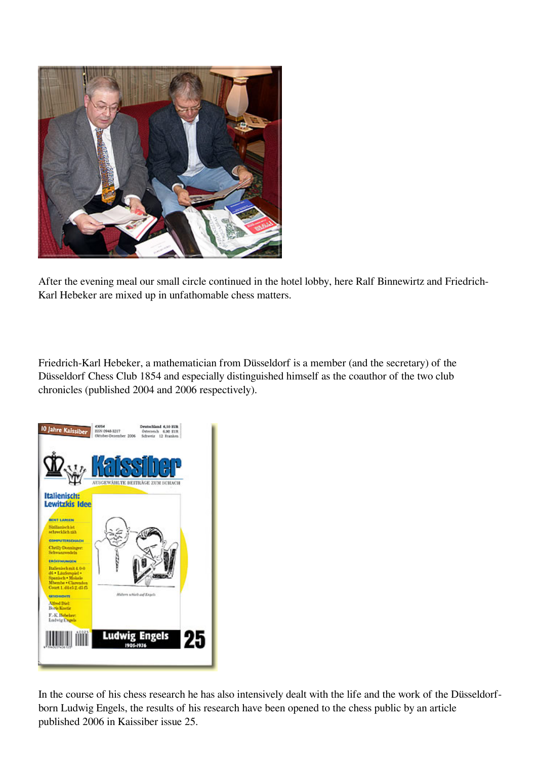

After the evening meal our small circle continued in the hotel lobby, here Ralf Binnewirtz and Friedrich-Karl Hebeker are mixed up in unfathomable chess matters.

Friedrich-Karl Hebeker, a mathematician from Düsseldorf is a member (and the secretary) of the Düsseldorf Chess Club 1854 and especially distinguished himself as the coauthor of the two club chronicles (published 2004 and 2006 respectively).



In the course of his chess research he has also intensively dealt with the life and the work of the Düsseldorfborn Ludwig Engels, the results of his research have been opened to the chess public by an article published 2006 in Kaissiber issue 25.